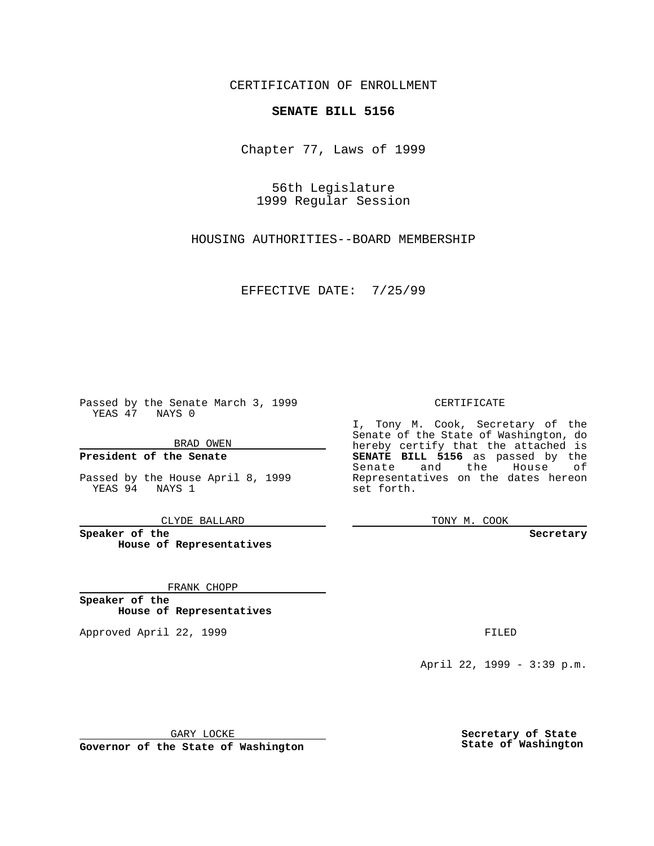CERTIFICATION OF ENROLLMENT

# **SENATE BILL 5156**

Chapter 77, Laws of 1999

56th Legislature 1999 Regular Session

HOUSING AUTHORITIES--BOARD MEMBERSHIP

EFFECTIVE DATE: 7/25/99

Passed by the Senate March 3, 1999 YEAS 47 NAYS 0

BRAD OWEN

**President of the Senate**

Passed by the House April 8, 1999 YEAS 94 NAYS 1

CLYDE BALLARD

**Speaker of the House of Representatives**

FRANK CHOPP

**Speaker of the House of Representatives**

Approved April 22, 1999 **FILED** 

### CERTIFICATE

I, Tony M. Cook, Secretary of the Senate of the State of Washington, do hereby certify that the attached is **SENATE BILL 5156** as passed by the Senate and the House of Representatives on the dates hereon set forth.

TONY M. COOK

#### **Secretary**

April 22, 1999 - 3:39 p.m.

GARY LOCKE

**Governor of the State of Washington**

**Secretary of State State of Washington**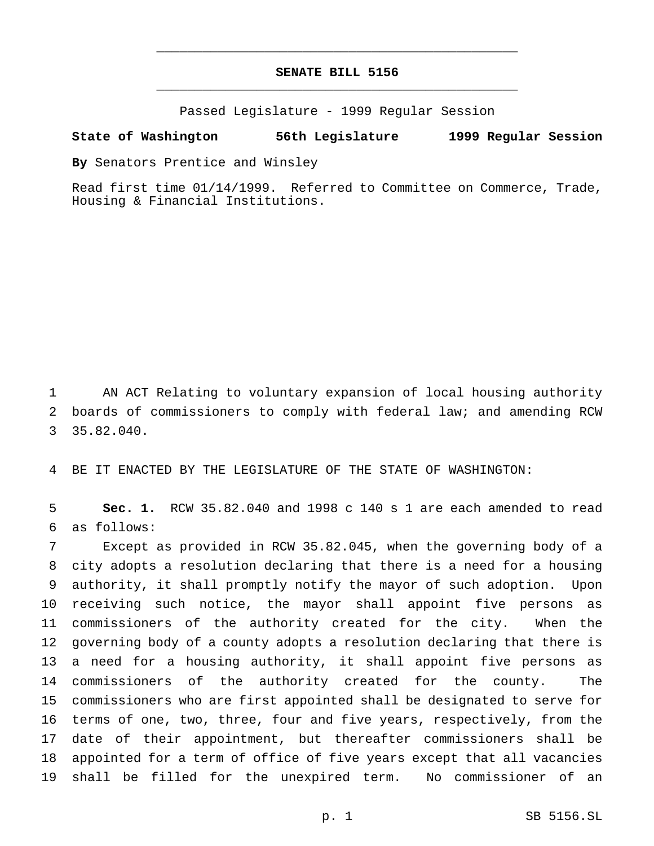## **SENATE BILL 5156** \_\_\_\_\_\_\_\_\_\_\_\_\_\_\_\_\_\_\_\_\_\_\_\_\_\_\_\_\_\_\_\_\_\_\_\_\_\_\_\_\_\_\_\_\_\_\_

\_\_\_\_\_\_\_\_\_\_\_\_\_\_\_\_\_\_\_\_\_\_\_\_\_\_\_\_\_\_\_\_\_\_\_\_\_\_\_\_\_\_\_\_\_\_\_

Passed Legislature - 1999 Regular Session

#### **State of Washington 56th Legislature 1999 Regular Session**

**By** Senators Prentice and Winsley

Read first time 01/14/1999. Referred to Committee on Commerce, Trade, Housing & Financial Institutions.

 AN ACT Relating to voluntary expansion of local housing authority boards of commissioners to comply with federal law; and amending RCW 35.82.040.

BE IT ENACTED BY THE LEGISLATURE OF THE STATE OF WASHINGTON:

 **Sec. 1.** RCW 35.82.040 and 1998 c 140 s 1 are each amended to read as follows:

 Except as provided in RCW 35.82.045, when the governing body of a city adopts a resolution declaring that there is a need for a housing authority, it shall promptly notify the mayor of such adoption. Upon receiving such notice, the mayor shall appoint five persons as commissioners of the authority created for the city. When the governing body of a county adopts a resolution declaring that there is a need for a housing authority, it shall appoint five persons as commissioners of the authority created for the county. The commissioners who are first appointed shall be designated to serve for terms of one, two, three, four and five years, respectively, from the date of their appointment, but thereafter commissioners shall be appointed for a term of office of five years except that all vacancies shall be filled for the unexpired term. No commissioner of an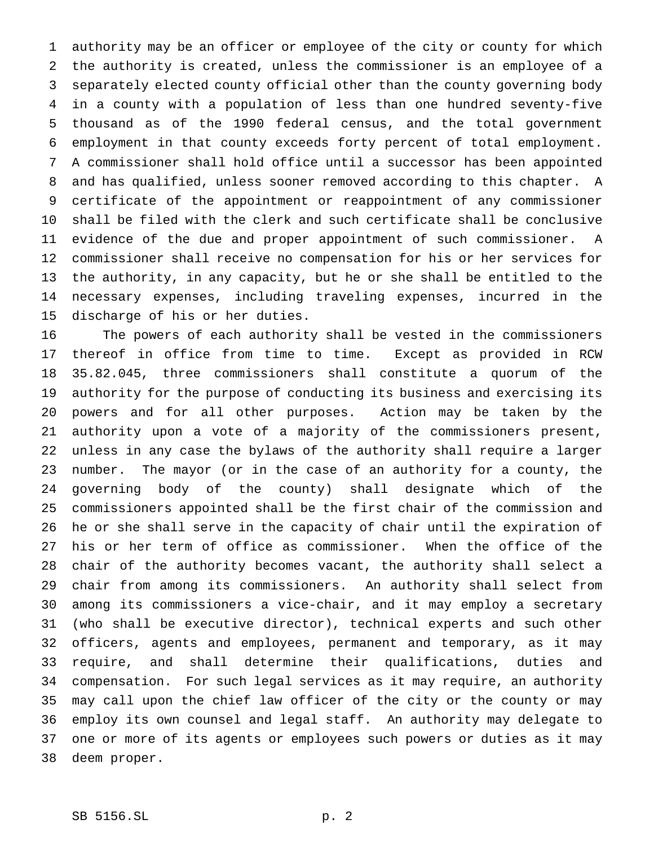authority may be an officer or employee of the city or county for which the authority is created, unless the commissioner is an employee of a separately elected county official other than the county governing body in a county with a population of less than one hundred seventy-five thousand as of the 1990 federal census, and the total government employment in that county exceeds forty percent of total employment. A commissioner shall hold office until a successor has been appointed and has qualified, unless sooner removed according to this chapter. A certificate of the appointment or reappointment of any commissioner shall be filed with the clerk and such certificate shall be conclusive evidence of the due and proper appointment of such commissioner. A commissioner shall receive no compensation for his or her services for the authority, in any capacity, but he or she shall be entitled to the necessary expenses, including traveling expenses, incurred in the discharge of his or her duties.

 The powers of each authority shall be vested in the commissioners thereof in office from time to time. Except as provided in RCW 35.82.045, three commissioners shall constitute a quorum of the authority for the purpose of conducting its business and exercising its powers and for all other purposes. Action may be taken by the authority upon a vote of a majority of the commissioners present, unless in any case the bylaws of the authority shall require a larger number. The mayor (or in the case of an authority for a county, the governing body of the county) shall designate which of the commissioners appointed shall be the first chair of the commission and he or she shall serve in the capacity of chair until the expiration of his or her term of office as commissioner. When the office of the chair of the authority becomes vacant, the authority shall select a chair from among its commissioners. An authority shall select from among its commissioners a vice-chair, and it may employ a secretary (who shall be executive director), technical experts and such other officers, agents and employees, permanent and temporary, as it may require, and shall determine their qualifications, duties and compensation. For such legal services as it may require, an authority may call upon the chief law officer of the city or the county or may employ its own counsel and legal staff. An authority may delegate to one or more of its agents or employees such powers or duties as it may deem proper.